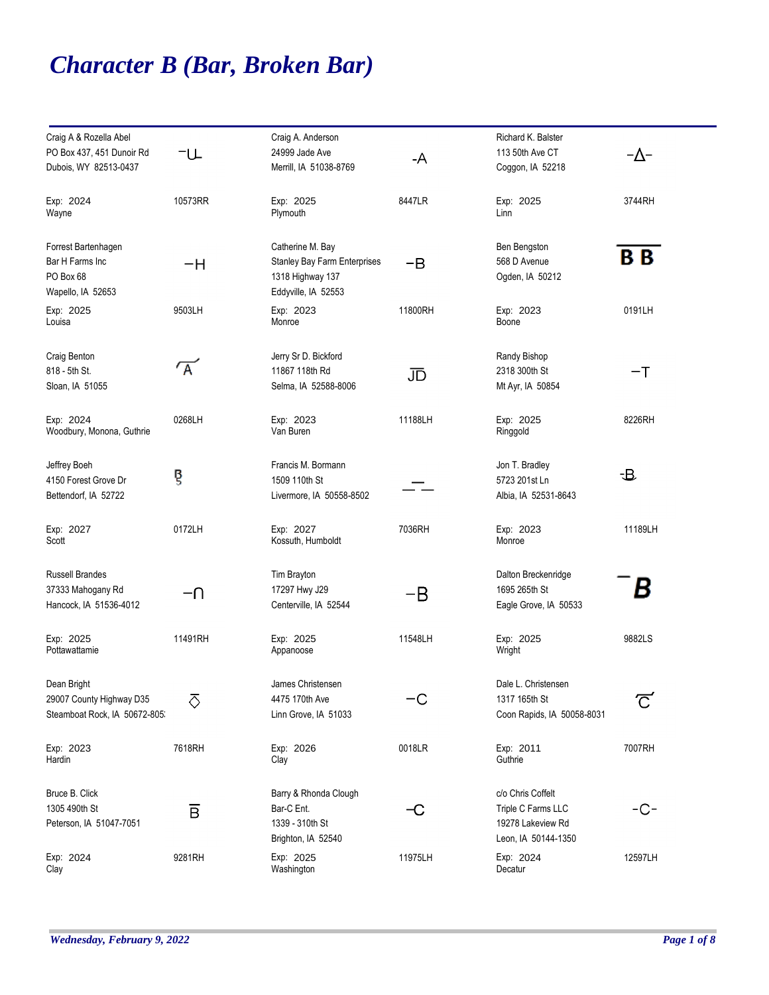## *Character B (Bar, Broken Bar)*

| Craig A & Rozella Abel<br>PO Box 437, 451 Dunoir Rd<br>Dubois, WY 82513-0437 | −∪                      | Craig A. Anderson<br>24999 Jade Ave<br>Merrill, IA 51038-8769                                      | -A      | Richard K. Balster<br>113 50th Ave CT<br>Coggon, IA 52218                           | −∆−                     |
|------------------------------------------------------------------------------|-------------------------|----------------------------------------------------------------------------------------------------|---------|-------------------------------------------------------------------------------------|-------------------------|
| Exp: 2024<br>Wayne                                                           | 10573RR                 | Exp: 2025<br>Plymouth                                                                              | 8447LR  | Exp: 2025<br>Linn                                                                   | 3744RH                  |
| Forrest Bartenhagen<br>Bar H Farms Inc<br>PO Box 68<br>Wapello, IA 52653     | -H                      | Catherine M. Bay<br><b>Stanley Bay Farm Enterprises</b><br>1318 Highway 137<br>Eddyville, IA 52553 | $-B$    | Ben Bengston<br>568 D Avenue<br>Ogden, IA 50212                                     | B <sub>B</sub>          |
| Exp: 2025<br>Louisa                                                          | 9503LH                  | Exp: 2023<br>Monroe                                                                                | 11800RH | Exp: 2023<br>Boone                                                                  | 0191LH                  |
| Craig Benton<br>818 - 5th St.<br>Sloan, IA 51055                             | $\tau_{\rm A}$          | Jerry Sr D. Bickford<br>11867 118th Rd<br>Selma, IA 52588-8006                                     | JD      | Randy Bishop<br>2318 300th St<br>Mt Ayr, IA 50854                                   | $-\mathsf{T}$           |
| Exp: 2024<br>Woodbury, Monona, Guthrie                                       | 0268LH                  | Exp: 2023<br>Van Buren                                                                             | 11188LH | Exp: 2025<br>Ringgold                                                               | 8226RH                  |
| Jeffrey Boeh<br>4150 Forest Grove Dr<br>Bettendorf, IA 52722                 | g                       | Francis M. Bormann<br>1509 110th St<br>Livermore, IA 50558-8502                                    |         | Jon T. Bradley<br>5723 201st Ln<br>Albia, IA 52531-8643                             | -B                      |
| Exp: 2027<br>Scott                                                           | 0172LH                  | Exp: 2027<br>Kossuth, Humboldt                                                                     | 7036RH  | Exp: 2023<br>Monroe                                                                 | 11189LH                 |
| <b>Russell Brandes</b><br>37333 Mahogany Rd<br>Hancock, IA 51536-4012        | –∩                      | Tim Brayton<br>17297 Hwy J29<br>Centerville, IA 52544                                              | $-B$    | Dalton Breckenridge<br>1695 265th St<br>Eagle Grove, IA 50533                       | В                       |
| Exp: 2025<br>Pottawattamie                                                   | 11491RH                 | Exp: 2025<br>Appanoose                                                                             | 11548LH | Exp: 2025<br>Wright                                                                 | 9882LS                  |
| Dean Bright<br>29007 County Highway D35<br>Steamboat Rock, IA 50672-805      | 运                       | James Christensen<br>4475 170th Ave<br>Linn Grove, IA 51033                                        | -C      | Dale L. Christensen<br>1317 165th St<br>Coon Rapids, IA 50058-8031                  | $\overline{\mathbb{C}}$ |
| Exp: 2023<br>Hardin                                                          | 7618RH                  | Exp: 2026<br>Clay                                                                                  | 0018LR  | Exp: 2011<br>Guthrie                                                                | 7007RH                  |
| Bruce B. Click<br>1305 490th St<br>Peterson, IA 51047-7051                   | $\overline{\mathsf{B}}$ | Barry & Rhonda Clough<br>Bar-C Ent.<br>1339 - 310th St<br>Brighton, IA 52540                       | −C      | c/o Chris Coffelt<br>Triple C Farms LLC<br>19278 Lakeview Rd<br>Leon, IA 50144-1350 | -C-                     |
| Exp: 2024<br>Clay                                                            | 9281RH                  | Exp: 2025<br>Washington                                                                            | 11975LH | Exp: 2024<br>Decatur                                                                | 12597LH                 |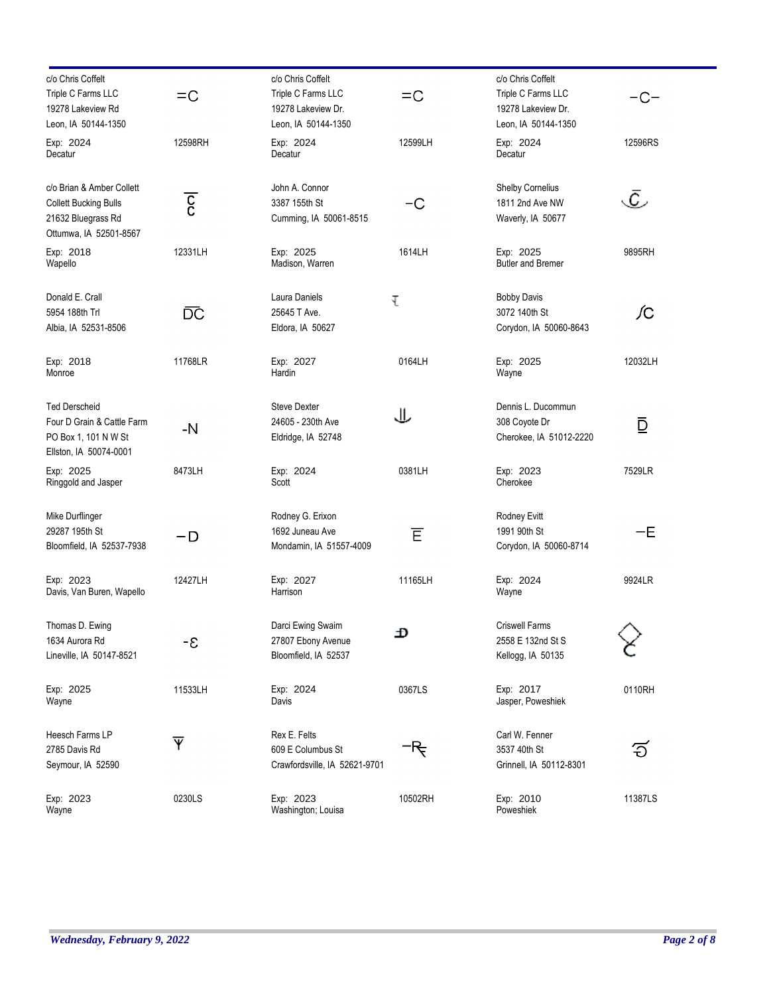| c/o Chris Coffelt<br>Triple C Farms LLC<br>19278 Lakeview Rd<br>Leon, IA 50144-1350                       | $=$ C                   | c/o Chris Coffelt<br>Triple C Farms LLC<br>19278 Lakeview Dr.<br>Leon, IA 50144-1350 | $=$ $\circ$ | c/o Chris Coffelt<br>Triple C Farms LLC<br>19278 Lakeview Dr.<br>Leon, IA 50144-1350 | -C-                  |
|-----------------------------------------------------------------------------------------------------------|-------------------------|--------------------------------------------------------------------------------------|-------------|--------------------------------------------------------------------------------------|----------------------|
| Exp: 2024<br>Decatur                                                                                      | 12598RH                 | Exp: 2024<br>Decatur                                                                 | 12599LH     | Exp: 2024<br>Decatur                                                                 | 12596RS              |
| c/o Brian & Amber Collett<br><b>Collett Bucking Bulls</b><br>21632 Bluegrass Rd<br>Ottumwa, IA 52501-8567 | $\overline{\mathrm{c}}$ | John A. Connor<br>3387 155th St<br>Cumming, IA 50061-8515                            | -C          | Shelby Cornelius<br>1811 2nd Ave NW<br>Waverly, IA 50677                             | $\bar{\mathfrak{C}}$ |
| Exp: 2018<br>Wapello                                                                                      | 12331LH                 | Exp: 2025<br>Madison, Warren                                                         | 1614LH      | Exp: 2025<br><b>Butler and Bremer</b>                                                | 9895RH               |
| Donald E. Crall<br>5954 188th Trl<br>Albia, IA 52531-8506                                                 | ĎĆ                      | Laura Daniels<br>25645 T Ave.<br>Eldora, IA 50627                                    | τ           | <b>Bobby Davis</b><br>3072 140th St<br>Corydon, IA 50060-8643                        | ſС                   |
| Exp: 2018<br>Monroe                                                                                       | 11768LR                 | Exp: 2027<br>Hardin                                                                  | 0164LH      | Exp: 2025<br>Wayne                                                                   | 12032LH              |
| <b>Ted Derscheid</b><br>Four D Grain & Cattle Farm<br>PO Box 1, 101 N W St<br>Ellston, IA 50074-0001      | -N                      | <b>Steve Dexter</b><br>24605 - 230th Ave<br>Eldridge, IA 52748                       | 业           | Dennis L. Ducommun<br>308 Coyote Dr<br>Cherokee, IA 51012-2220                       | ₫                    |
| Exp: 2025<br>Ringgold and Jasper                                                                          | 8473LH                  | Exp: 2024<br>Scott                                                                   | 0381LH      | Exp: 2023<br>Cherokee                                                                | 7529LR               |
| Mike Durflinger<br>29287 195th St<br>Bloomfield, IA 52537-7938                                            | – D                     | Rodney G. Erixon<br>1692 Juneau Ave<br>Mondamin, IA 51557-4009                       | Έ           | Rodney Evitt<br>1991 90th St<br>Corydon, IA 50060-8714                               | -E                   |
| Exp: 2023<br>Davis, Van Buren, Wapello                                                                    | 12427LH                 | Exp: 2027<br>Harrison                                                                | 11165LH     | Exp: 2024<br>Wayne                                                                   | 9924LR               |
| Thomas D. Ewing<br>1634 Aurora Rd<br>Lineville, IA 50147-8521                                             | -8                      | Darci Ewing Swaim<br>27807 Ebony Avenue<br>Bloomfield, IA 52537                      | Ð           | <b>Criswell Farms</b><br>2558 E 132nd St S<br>Kellogg, IA 50135                      |                      |
| Exp: 2025<br>Wayne                                                                                        | 11533LH                 | Exp: 2024<br>Davis                                                                   | 0367LS      | Exp: 2017<br>Jasper, Poweshiek                                                       | 0110RH               |
| Heesch Farms LP<br>2785 Davis Rd<br>Seymour, IA 52590                                                     | $\overline{\mathsf{Y}}$ | Rex E. Felts<br>609 E Columbus St<br>Crawfordsville, IA 52621-9701                   | ᠆ᡰҾ         | Carl W. Fenner<br>3537 40th St<br>Grinnell, IA 50112-8301                            | ි                    |
| Exp: 2023<br>Wayne                                                                                        | 0230LS                  | Exp: 2023<br>Washington; Louisa                                                      | 10502RH     | Exp: 2010<br>Poweshiek                                                               | 11387LS              |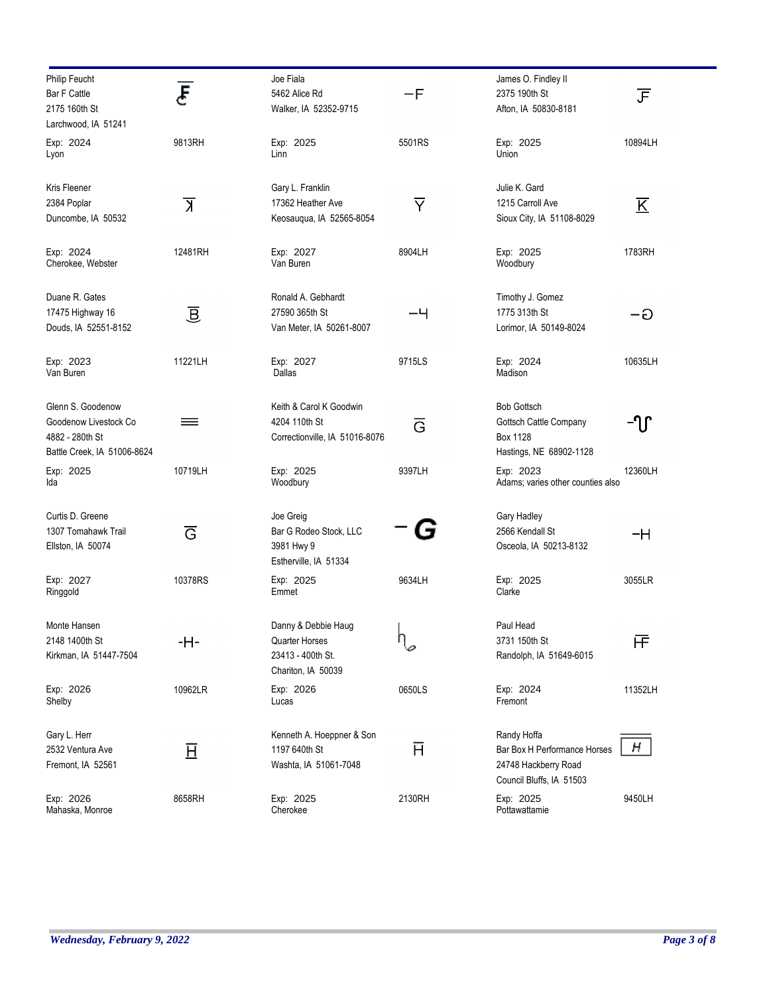| Philip Feucht<br><b>Bar F Cattle</b><br>2175 160th St | Ē                    | Joe Fiala<br>5462 Alice Rd<br>Walker, IA 52352-9715 | $-F$                    | James O. Findley II<br>2375 190th St<br>Afton, IA 50830-8181 | 正                       |
|-------------------------------------------------------|----------------------|-----------------------------------------------------|-------------------------|--------------------------------------------------------------|-------------------------|
| Larchwood, IA 51241                                   |                      |                                                     |                         |                                                              |                         |
| Exp: 2024<br>Lyon                                     | 9813RH               | Exp: 2025<br>Linn                                   | 5501RS                  | Exp: 2025<br>Union                                           | 10894LH                 |
| Kris Fleener                                          |                      | Gary L. Franklin                                    |                         | Julie K. Gard                                                |                         |
| 2384 Poplar                                           | $\overline{\lambda}$ | 17362 Heather Ave                                   | $\overline{\mathsf{Y}}$ | 1215 Carroll Ave                                             | $\overline{\mathrm{K}}$ |
| Duncombe, IA 50532                                    |                      | Keosaugua, IA 52565-8054                            |                         | Sioux City, IA 51108-8029                                    |                         |
| Exp: 2024<br>Cherokee, Webster                        | 12481RH              | Exp: 2027<br>Van Buren                              | 8904LH                  | Exp: 2025<br>Woodbury                                        | 1783RH                  |
| Duane R. Gates                                        |                      | Ronald A. Gebhardt                                  |                         | Timothy J. Gomez                                             |                         |
| 17475 Highway 16                                      | 亘                    | 27590 365th St                                      | -4                      | 1775 313th St                                                | –ට                      |
| Douds, IA 52551-8152                                  |                      | Van Meter, IA 50261-8007                            |                         | Lorimor, IA 50149-8024                                       |                         |
| Exp: 2023<br>Van Buren                                | 11221LH              | Exp: 2027<br>Dallas                                 | 9715LS                  | Exp: 2024<br>Madison                                         | 10635LH                 |
| Glenn S. Goodenow                                     |                      | Keith & Carol K Goodwin                             |                         | <b>Bob Gottsch</b>                                           |                         |
| Goodenow Livestock Co                                 | ≡                    | 4204 110th St                                       | $\overline{G}$          | Gottsch Cattle Company                                       | -ՂՐ                     |
| 4882 - 280th St                                       |                      | Correctionville, IA 51016-8076                      |                         | Box 1128                                                     |                         |
| Battle Creek, IA 51006-8624                           |                      |                                                     |                         | Hastings, NE 68902-1128                                      |                         |
| Exp: 2025<br>Ida                                      | 10719LH              | Exp: 2025<br>Woodbury                               | 9397LH                  | Exp: 2023<br>Adams; varies other counties also               | 12360LH                 |
| Curtis D. Greene                                      |                      | Joe Greig                                           |                         | Gary Hadley                                                  |                         |
| 1307 Tomahawk Trail                                   | Ğ                    | Bar G Rodeo Stock, LLC                              |                         | 2566 Kendall St                                              | -H                      |
| Ellston, IA 50074                                     |                      | 3981 Hwy 9<br>Estherville, IA 51334                 |                         | Osceola, IA 50213-8132                                       |                         |
| Exp: 2027<br>Ringgold                                 | 10378RS              | Exp: 2025<br>Emmet                                  | 9634LH                  | Exp: 2025<br>Clarke                                          | 3055LR                  |
| Monte Hansen                                          |                      | Danny & Debbie Haug                                 |                         | Paul Head                                                    |                         |
| 2148 1400th St<br>Kirkman, IA 51447-7504              | -H-                  | <b>Quarter Horses</b><br>23413 - 400th St.          | П                       | 3731 150th St<br>Randolph, IA 51649-6015                     | 厈                       |
|                                                       |                      | Chariton, IA 50039                                  |                         |                                                              |                         |
| Exp: 2026<br>Shelby                                   | 10962LR              | Exp: 2026<br>Lucas                                  | 0650LS                  | Exp: 2024<br>Fremont                                         | 11352LH                 |
| Gary L. Herr                                          |                      | Kenneth A. Hoeppner & Son                           |                         | Randy Hoffa                                                  |                         |
| 2532 Ventura Ave                                      | 亘                    | 1197 640th St                                       | Ħ                       | Bar Box H Performance Horses                                 | н                       |
| Fremont, IA 52561                                     |                      | Washta, IA 51061-7048                               |                         | 24748 Hackberry Road<br>Council Bluffs, IA 51503             |                         |
| Exp: 2026                                             | 8658RH               | Exp: 2025                                           | 2130RH                  | Exp: 2025                                                    | 9450LH                  |
| Mahaska, Monroe                                       |                      | Cherokee                                            |                         | Pottawattamie                                                |                         |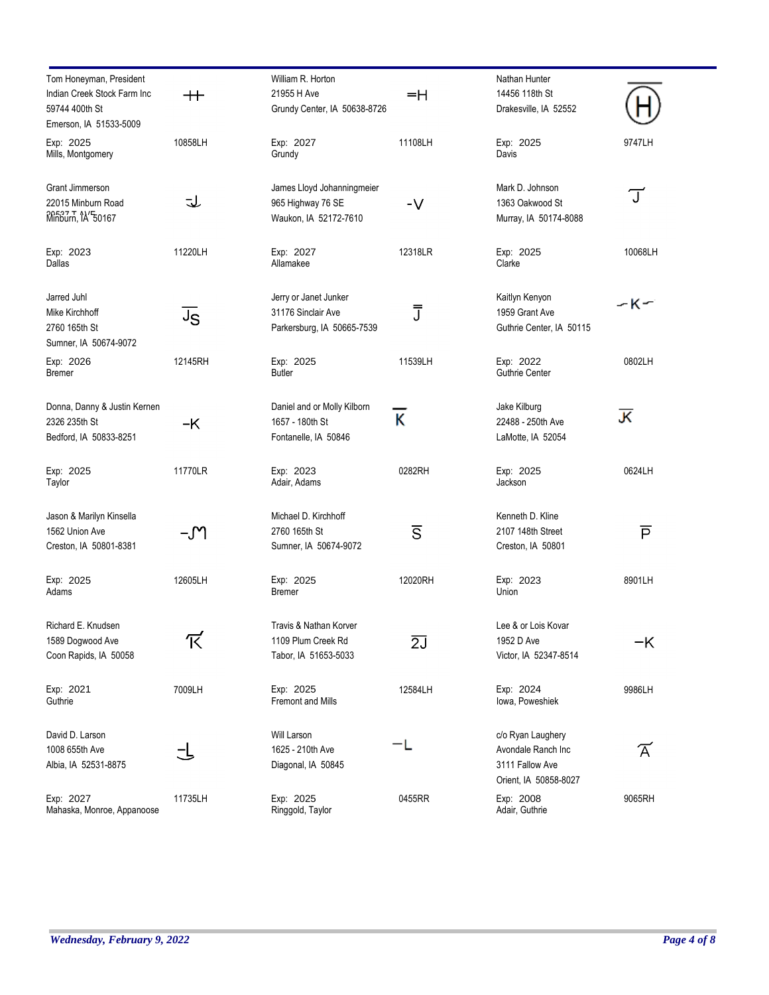| Tom Honeyman, President<br>Indian Creek Stock Farm Inc<br>59744 400th St            | $^{\rm ++}$ | William R. Horton<br>21955 H Ave<br>Grundy Center, IA 50638-8726          | $=$ H                   | Nathan Hunter<br>14456 118th St<br>Drakesville, IA 52552                            |                               |
|-------------------------------------------------------------------------------------|-------------|---------------------------------------------------------------------------|-------------------------|-------------------------------------------------------------------------------------|-------------------------------|
| Emerson, IA 51533-5009                                                              |             |                                                                           |                         |                                                                                     |                               |
| Exp: 2025<br>Mills, Montgomery                                                      | 10858LH     | Exp: 2027<br>Grundy                                                       | 11108LH                 | Exp: 2025<br>Davis                                                                  | 9747LH                        |
| Grant Jimmerson<br>22015 Minburn Road<br>M <sub>inburn</sub> , 1 <sup>2</sup> 50167 | J           | James Lloyd Johanningmeier<br>965 Highway 76 SE<br>Waukon, IA 52172-7610  | $-V$                    | Mark D. Johnson<br>1363 Oakwood St<br>Murray, IA 50174-8088                         | $\mathbb T$                   |
| Exp: 2023<br>Dallas                                                                 | 11220LH     | Exp: 2027<br>Allamakee                                                    | 12318LR                 | Exp: 2025<br>Clarke                                                                 | 10068LH                       |
| Jarred Juhl<br>Mike Kirchhoff<br>2760 165th St<br>Sumner, IA 50674-9072             | JS          | Jerry or Janet Junker<br>31176 Sinclair Ave<br>Parkersburg, IA 50665-7539 | J                       | Kaitlyn Kenyon<br>1959 Grant Ave<br>Guthrie Center, IA 50115                        | ーKー                           |
| Exp: 2026<br>Bremer                                                                 | 12145RH     | Exp: 2025<br><b>Butler</b>                                                | 11539LH                 | Exp: 2022<br>Guthrie Center                                                         | 0802LH                        |
| Donna, Danny & Justin Kernen<br>2326 235th St<br>Bedford, IA 50833-8251             | -K          | Daniel and or Molly Kilborn<br>1657 - 180th St<br>Fontanelle, IA 50846    | κ                       | Jake Kilburg<br>22488 - 250th Ave<br>LaMotte, IA 52054                              | 灭                             |
| Exp: 2025<br>Taylor                                                                 | 11770LR     | Exp: 2023<br>Adair, Adams                                                 | 0282RH                  | Exp: 2025<br>Jackson                                                                | 0624LH                        |
| Jason & Marilyn Kinsella<br>1562 Union Ave<br>Creston, IA 50801-8381                | -M          | Michael D. Kirchhoff<br>2760 165th St<br>Sumner, IA 50674-9072            | $\overline{\mathsf{S}}$ | Kenneth D. Kline<br>2107 148th Street<br>Creston, IA 50801                          | $\overline{P}$                |
| Exp: 2025<br>Adams                                                                  | 12605LH     | Exp: 2025<br><b>Bremer</b>                                                | 12020RH                 | Exp: 2023<br>Union                                                                  | 8901LH                        |
| Richard E. Knudsen<br>1589 Dogwood Ave<br>Coon Rapids, IA 50058                     | 下           | Travis & Nathan Korver<br>1109 Plum Creek Rd<br>Tabor, IA 51653-5033      | $\overline{2J}$         | Lee & or Lois Kovar<br>1952 D Ave<br>Victor, IA 52347-8514                          | $-K$                          |
| Exp: 2021<br>Guthrie                                                                | 7009LH      | Exp: 2025<br><b>Fremont and Mills</b>                                     | 12584LH                 | Exp: 2024<br>lowa, Poweshiek                                                        | 9986LH                        |
| David D. Larson<br>1008 655th Ave<br>Albia, IA 52531-8875                           |             | Will Larson<br>1625 - 210th Ave<br>Diagonal, IA 50845                     |                         | c/o Ryan Laughery<br>Avondale Ranch Inc<br>3111 Fallow Ave<br>Orient, IA 50858-8027 | $\widetilde{\bm{\mathsf{A}}}$ |
| Exp: 2027<br>Mahaska, Monroe, Appanoose                                             | 11735LH     | Exp: 2025<br>Ringgold, Taylor                                             | 0455RR                  | Exp: 2008<br>Adair, Guthrie                                                         | 9065RH                        |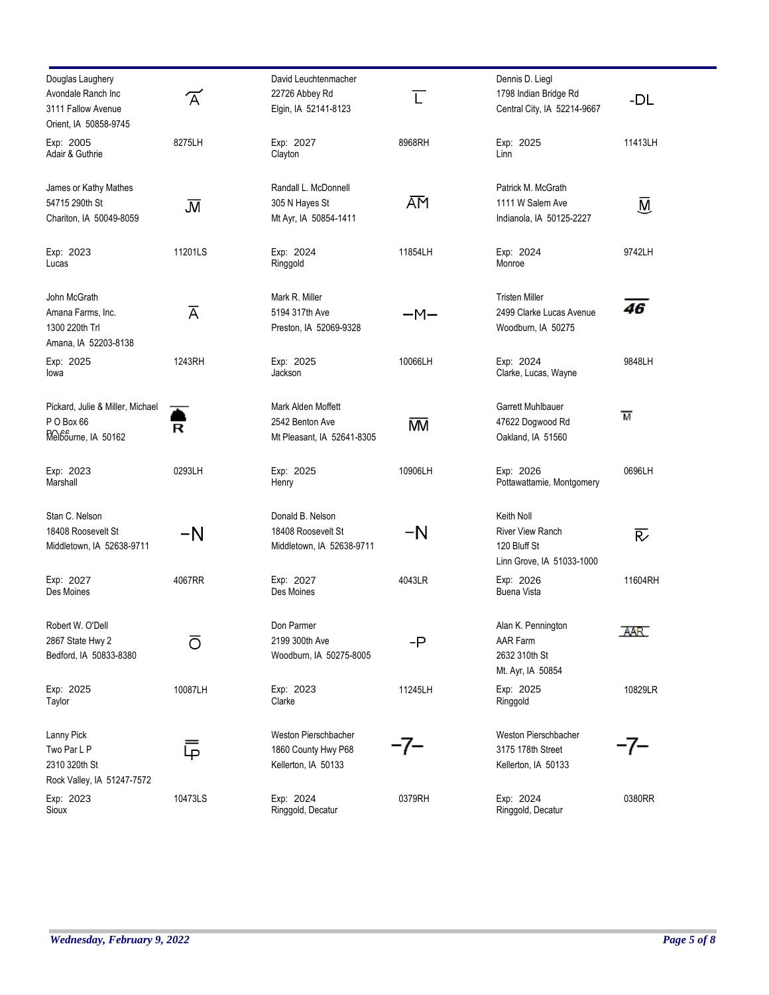| Douglas Laughery                 |                         | David Leuchtenmacher       |                | Dennis D. Liegl                        |                         |
|----------------------------------|-------------------------|----------------------------|----------------|----------------------------------------|-------------------------|
| Avondale Ranch Inc               |                         | 22726 Abbey Rd             |                | 1798 Indian Bridge Rd                  |                         |
| 3111 Fallow Avenue               | $\overline{\mathsf{A}}$ | Elgin, IA 52141-8123       | $\overline{L}$ | Central City, IA 52214-9667            | -DL                     |
|                                  |                         |                            |                |                                        |                         |
| Orient, IA 50858-9745            |                         |                            |                |                                        |                         |
| Exp: 2005                        | 8275LH                  | Exp: 2027                  | 8968RH         | Exp: 2025                              | 11413LH                 |
| Adair & Guthrie                  |                         | Clayton                    |                | Linn                                   |                         |
|                                  |                         |                            |                |                                        |                         |
| James or Kathy Mathes            |                         | Randall L. McDonnell       |                | Patrick M. McGrath                     |                         |
| 54715 290th St                   | J                       | 305 N Hayes St             | ĀM             | 1111 W Salem Ave                       | $\overline{\mathsf{M}}$ |
| Chariton, IA 50049-8059          |                         | Mt Ayr, IA 50854-1411      |                | Indianola, IA 50125-2227               |                         |
|                                  | 11201LS                 |                            |                |                                        |                         |
| Exp: 2023<br>Lucas               |                         | Exp: 2024<br>Ringgold      | 11854LH        | Exp: 2024<br>Monroe                    | 9742LH                  |
|                                  |                         |                            |                |                                        |                         |
| John McGrath                     |                         | Mark R. Miller             |                | <b>Tristen Miller</b>                  |                         |
| Amana Farms, Inc.                | $\overline{A}$          | 5194 317th Ave             | $-M-$          | 2499 Clarke Lucas Avenue               | 46                      |
| 1300 220th Trl                   |                         | Preston, IA 52069-9328     |                | Woodburn, IA 50275                     |                         |
| Amana, IA 52203-8138             |                         |                            |                |                                        |                         |
| Exp: 2025                        | 1243RH                  | Exp: 2025                  | 10066LH        | Exp: 2024                              | 9848LH                  |
| lowa                             |                         | Jackson                    |                | Clarke, Lucas, Wayne                   |                         |
|                                  |                         |                            |                |                                        |                         |
| Pickard, Julie & Miller, Michael |                         | Mark Alden Moffett         |                | Garrett Muhlbauer                      | м                       |
| PO Box 66                        | R                       | 2542 Benton Ave            | <b>MV</b>      | 47622 Dogwood Rd                       |                         |
| Melbourne, IA 50162              |                         | Mt Pleasant, IA 52641-8305 |                | Oakland, IA 51560                      |                         |
|                                  |                         |                            |                |                                        |                         |
| Exp: 2023<br>Marshall            | 0293LH                  | Exp: 2025<br>Henry         | 10906LH        | Exp: 2026<br>Pottawattamie, Montgomery | 0696LH                  |
|                                  |                         |                            |                |                                        |                         |
| Stan C. Nelson                   |                         | Donald B. Nelson           |                | Keith Noll                             |                         |
| 18408 Roosevelt St               | -N                      | 18408 Roosevelt St         | $-N$           | <b>River View Ranch</b>                | $\overline{\mathsf{R}}$ |
| Middletown, IA 52638-9711        |                         | Middletown, IA 52638-9711  |                | 120 Bluff St                           |                         |
|                                  |                         |                            |                | Linn Grove, IA 51033-1000              |                         |
|                                  |                         |                            |                |                                        |                         |
| Exp: 2027                        | 4067RR                  | Exp: 2027                  | 4043LR         | Exp: 2026                              | 11604RH                 |
| Des Moines                       |                         | Des Moines                 |                | <b>Buena Vista</b>                     |                         |
| Robert W. O'Dell                 |                         | Don Parmer                 |                | Alan K. Pennington                     |                         |
| 2867 State Hwy 2                 | ō                       | 2199 300th Ave             | $-P$           | AAR Farm                               | AAR.                    |
| Bedford, IA 50833-8380           |                         | Woodburn, IA 50275-8005    |                | 2632 310th St                          |                         |
|                                  |                         |                            |                | Mt. Ayr, IA 50854                      |                         |
| Exp: 2025                        | 10087LH                 | Exp: 2023                  | 11245LH        | Exp: 2025                              | 10829LR                 |
| Taylor                           |                         | Clarke                     |                | Ringgold                               |                         |
|                                  |                         |                            |                |                                        |                         |
| Lanny Pick                       |                         | Weston Pierschbacher       |                | Weston Pierschbacher                   |                         |
| Two Par L P                      | ⋤                       | 1860 County Hwy P68        | -7–            | 3175 178th Street                      | -7–                     |
| 2310 320th St                    |                         | Kellerton, IA 50133        |                | Kellerton, IA 50133                    |                         |
| Rock Valley, IA 51247-7572       |                         |                            |                |                                        |                         |
|                                  | 10473LS                 | Exp: 2024                  | 0379RH         | Exp: 2024                              | 0380RR                  |
| Exp: 2023<br>Sioux               |                         | Ringgold, Decatur          |                | Ringgold, Decatur                      |                         |
|                                  |                         |                            |                |                                        |                         |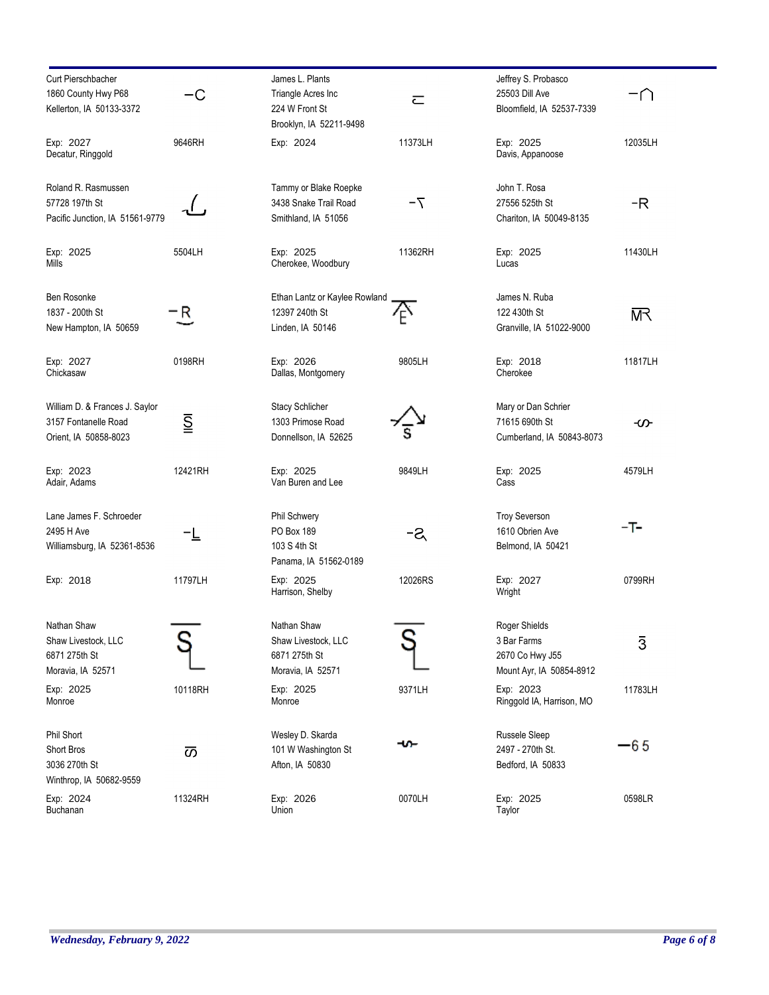| <b>Curt Pierschbacher</b>       |                                     | James L. Plants               |                      | Jeffrey S. Probasco                    |                |
|---------------------------------|-------------------------------------|-------------------------------|----------------------|----------------------------------------|----------------|
| 1860 County Hwy P68             | –С                                  | Triangle Acres Inc            |                      | 25503 Dill Ave                         | -N             |
|                                 |                                     |                               | $\overline{\subset}$ |                                        |                |
| Kellerton, IA 50133-3372        |                                     | 224 W Front St                |                      | Bloomfield, IA 52537-7339              |                |
|                                 |                                     | Brooklyn, IA 52211-9498       |                      |                                        |                |
| Exp: 2027                       | 9646RH                              | Exp: 2024                     | 11373LH              | Exp: 2025                              | 12035LH        |
| Decatur, Ringgold               |                                     |                               |                      | Davis, Appanoose                       |                |
|                                 |                                     |                               |                      |                                        |                |
|                                 |                                     |                               |                      |                                        |                |
| Roland R. Rasmussen             |                                     | Tammy or Blake Roepke         |                      | John T. Rosa                           |                |
| 57728 197th St                  |                                     | 3438 Snake Trail Road         | $7-$                 | 27556 525th St                         | -R             |
| Pacific Junction, IA 51561-9779 |                                     | Smithland, IA 51056           |                      | Chariton, IA 50049-8135                |                |
|                                 |                                     |                               |                      |                                        |                |
|                                 |                                     |                               |                      |                                        |                |
| Exp: 2025                       | 5504LH                              | Exp: 2025                     | 11362RH              | Exp: 2025                              | 11430LH        |
| Mills                           |                                     | Cherokee, Woodbury            |                      | Lucas                                  |                |
|                                 |                                     |                               |                      |                                        |                |
| Ben Rosonke                     |                                     | Ethan Lantz or Kaylee Rowland |                      | James N. Ruba                          |                |
|                                 |                                     |                               |                      |                                        |                |
| 1837 - 200th St                 | R                                   | 12397 240th St                | ים                   | 122 430th St                           | 呎              |
| New Hampton, IA 50659           |                                     | Linden, IA 50146              |                      | Granville, IA 51022-9000               |                |
|                                 |                                     |                               |                      |                                        |                |
| Exp: 2027                       | 0198RH                              | Exp: 2026                     | 9805LH               | Exp: 2018                              | 11817LH        |
| Chickasaw                       |                                     | Dallas, Montgomery            |                      | Cherokee                               |                |
|                                 |                                     |                               |                      |                                        |                |
|                                 |                                     |                               |                      |                                        |                |
| William D. & Frances J. Saylor  |                                     | <b>Stacy Schlicher</b>        |                      | Mary or Dan Schrier                    |                |
| 3157 Fontanelle Road            | $\overline{\underline{\mathsf{S}}}$ | 1303 Primose Road             |                      | 71615 690th St                         | တ              |
| Orient, IA 50858-8023           |                                     | Donnellson, IA 52625          |                      | Cumberland, IA 50843-8073              |                |
|                                 |                                     |                               |                      |                                        |                |
|                                 |                                     |                               |                      |                                        |                |
| Exp: 2023                       | 12421RH                             | Exp: 2025                     | 9849LH               | Exp: 2025                              | 4579LH         |
| Adair, Adams                    |                                     | Van Buren and Lee             |                      | Cass                                   |                |
|                                 |                                     |                               |                      |                                        |                |
| Lane James F. Schroeder         |                                     | Phil Schwery                  |                      | <b>Troy Severson</b>                   |                |
| 2495 H Ave                      |                                     | PO Box 189                    |                      | 1610 Obrien Ave                        | -T-            |
|                                 |                                     | 103 S 4th St                  | -ଥ                   | Belmond, IA 50421                      |                |
| Williamsburg, IA 52361-8536     |                                     |                               |                      |                                        |                |
|                                 |                                     | Panama, IA 51562-0189         |                      |                                        |                |
| Exp: 2018                       | 11797LH                             | Exp: 2025                     | 12026RS              | Exp: 2027                              | 0799RH         |
|                                 |                                     | Harrison, Shelby              |                      | Wright                                 |                |
|                                 |                                     |                               |                      |                                        |                |
|                                 |                                     |                               |                      |                                        |                |
| Nathan Shaw                     |                                     | Nathan Shaw                   |                      | Roger Shields                          |                |
| Shaw Livestock, LLC             |                                     | Shaw Livestock, LLC           |                      | 3 Bar Farms                            | $\overline{3}$ |
| 6871 275th St                   |                                     | 6871 275th St                 |                      | 2670 Co Hwy J55                        |                |
| Moravia, IA 52571               |                                     | Moravia, IA 52571             |                      | Mount Ayr, IA 50854-8912               |                |
|                                 |                                     |                               |                      |                                        |                |
| Exp: 2025                       | 10118RH                             | Exp: 2025                     | 9371LH               | Exp: 2023<br>Ringgold IA, Harrison, MO | 11783LH        |
| Monroe                          |                                     | Monroe                        |                      |                                        |                |
|                                 |                                     |                               |                      |                                        |                |
| Phil Short                      |                                     | Wesley D. Skarda              |                      | Russele Sleep                          |                |
| Short Bros                      | あ                                   | 101 W Washington St           | ⊷                    | 2497 - 270th St.                       | -65            |
| 3036 270th St                   |                                     | Afton, IA 50830               |                      | Bedford, IA 50833                      |                |
|                                 |                                     |                               |                      |                                        |                |
| Winthrop, IA 50682-9559         |                                     |                               |                      |                                        |                |
| Exp: 2024                       | 11324RH                             | Exp: 2026                     | 0070LH               | Exp: 2025                              | 0598LR         |
| Buchanan                        |                                     | Union                         |                      | Taylor                                 |                |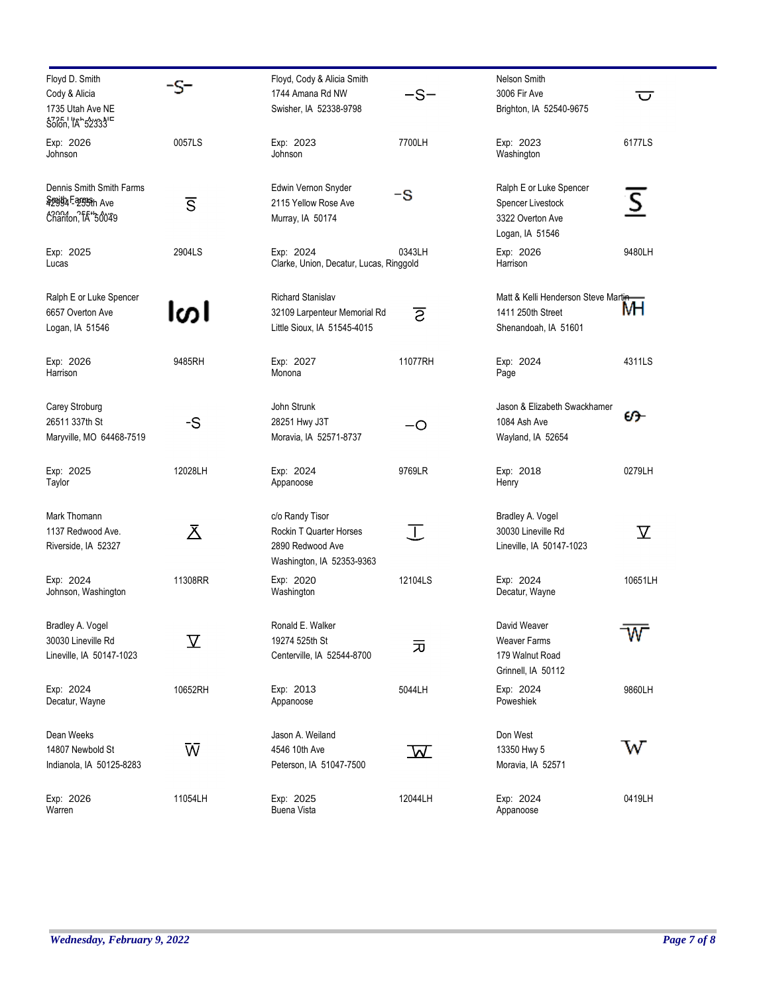| Floyd D. Smith                   |                         | Floyd, Cody & Alicia Smith              |                         | Nelson Smith                         |                         |
|----------------------------------|-------------------------|-----------------------------------------|-------------------------|--------------------------------------|-------------------------|
| Cody & Alicia                    | -S-                     | 1744 Amana Rd NW                        | $-S-$                   | 3006 Fir Ave                         | $\overline{\mathsf{C}}$ |
| 1735 Utah Ave NE                 |                         | Swisher, IA 52338-9798                  |                         | Brighton, IA 52540-9675              |                         |
| \$300n, 'ta' 52333' <sup>E</sup> |                         |                                         |                         |                                      |                         |
| Exp: 2026                        | 0057LS                  | Exp: 2023                               | 7700LH                  | Exp: 2023                            | 6177LS                  |
| Johnson                          |                         | Johnson                                 |                         | Washington                           |                         |
| Dennis Smith Smith Farms         |                         | Edwin Vernon Snyder                     |                         | Ralph E or Luke Spencer              |                         |
| Spojtja Fargish Ave              | $\overline{\mathsf{s}}$ | 2115 Yellow Rose Ave                    | -S                      | Spencer Livestock                    | $\overline{\mathsf{S}}$ |
| chariton, TA*50049               |                         | Murray, IA 50174                        |                         | 3322 Overton Ave                     |                         |
|                                  |                         |                                         |                         | Logan, IA 51546                      |                         |
| Exp: 2025                        | 2904LS                  | Exp: 2024                               | 0343LH                  | Exp: 2026                            | 9480LH                  |
| Lucas                            |                         | Clarke, Union, Decatur, Lucas, Ringgold |                         | Harrison                             |                         |
| Ralph E or Luke Spencer          |                         | <b>Richard Stanislav</b>                |                         | Matt & Kelli Henderson Steve Martin- |                         |
| 6657 Overton Ave                 | ါတ၊                     | 32109 Larpenteur Memorial Rd            | ट                       | 1411 250th Street                    | мн                      |
| Logan, IA 51546                  |                         | Little Sioux, IA 51545-4015             |                         | Shenandoah, IA 51601                 |                         |
|                                  |                         |                                         |                         |                                      |                         |
| Exp: 2026                        | 9485RH                  | Exp: 2027                               | 11077RH                 | Exp: 2024                            | 4311LS                  |
| Harrison                         |                         | Monona                                  |                         | Page                                 |                         |
| Carey Stroburg                   |                         | John Strunk                             |                         | Jason & Elizabeth Swackhamer         |                         |
| 26511 337th St                   | -S                      | 28251 Hwy J3T                           | -0                      | 1084 Ash Ave                         | ശ−                      |
| Maryville, MO 64468-7519         |                         | Moravia, IA 52571-8737                  |                         | Wayland, IA 52654                    |                         |
| Exp: 2025                        | 12028LH                 | Exp: 2024                               | 9769LR                  | Exp: 2018                            | 0279LH                  |
| Taylor                           |                         | Appanoose                               |                         | Henry                                |                         |
| Mark Thomann                     |                         | c/o Randy Tisor                         |                         | Bradley A. Vogel                     |                         |
| 1137 Redwood Ave.                | 区                       | Rockin T Quarter Horses                 | 工                       | 30030 Lineville Rd                   | $\overline{\mathrm{Y}}$ |
| Riverside, IA 52327              |                         | 2890 Redwood Ave                        |                         | Lineville, IA 50147-1023             |                         |
|                                  |                         | Washington, IA 52353-9363               |                         |                                      |                         |
| Exp: 2024                        | 11308RR                 | Exp: 2020                               | 12104LS                 | Exp: 2024                            | 10651LH                 |
| Johnson, Washington              |                         | Washington                              |                         | Decatur, Wayne                       |                         |
| Bradley A. Vogel                 |                         | Ronald E. Walker                        |                         | David Weaver                         |                         |
| 30030 Lineville Rd               | $\rm \Sigma$            | 19274 525th St                          |                         | <b>Weaver Farms</b>                  | W                       |
| Lineville, IA 50147-1023         |                         | Centerville, IA 52544-8700              | 元                       | 179 Walnut Road                      |                         |
|                                  |                         |                                         |                         | Grinnell, IA 50112                   |                         |
| Exp: 2024                        | 10652RH                 | Exp: 2013                               | 5044LH                  | Exp: 2024                            | 9860LH                  |
| Decatur, Wayne                   |                         | Appanoose                               |                         | Poweshiek                            |                         |
| Dean Weeks                       |                         | Jason A. Weiland                        |                         | Don West                             |                         |
| 14807 Newbold St                 | Ŵ                       | 4546 10th Ave                           | $\overline{\mathbf{W}}$ | 13350 Hwy 5                          | W                       |
| Indianola, IA 50125-8283         |                         | Peterson, IA 51047-7500                 |                         | Moravia, IA 52571                    |                         |
| Exp: 2026                        | 11054LH                 | Exp: 2025                               | 12044LH                 | Exp: 2024                            | 0419LH                  |
| Warren                           |                         | Buena Vista                             |                         | Appanoose                            |                         |
|                                  |                         |                                         |                         |                                      |                         |